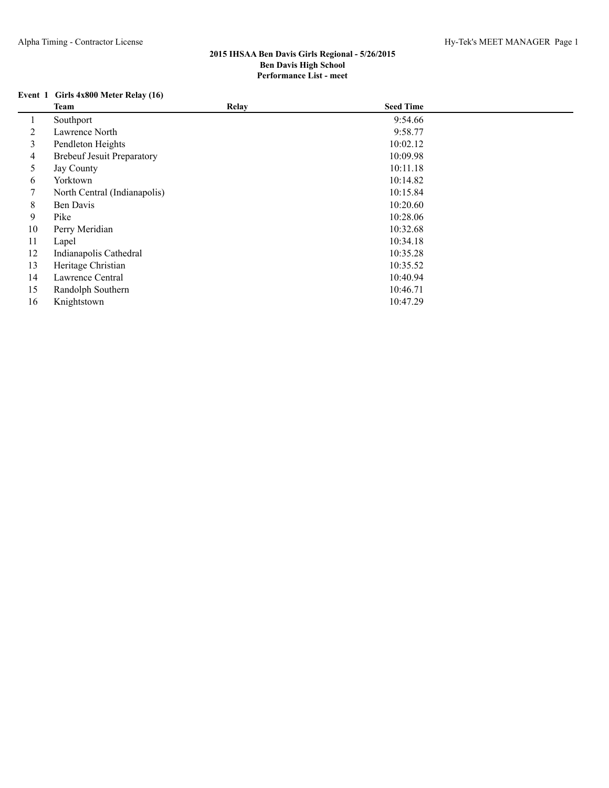# **Event 1 Girls 4x800 Meter Relay (16)**

|    | <b>Team</b>                       | Relay | <b>Seed Time</b> |  |
|----|-----------------------------------|-------|------------------|--|
|    | Southport                         |       | 9:54.66          |  |
| 2  | Lawrence North                    |       | 9:58.77          |  |
| 3  | Pendleton Heights                 |       | 10:02.12         |  |
| 4  | <b>Brebeuf Jesuit Preparatory</b> |       | 10:09.98         |  |
| 5  | Jay County                        |       | 10:11.18         |  |
| 6  | Yorktown                          |       | 10:14.82         |  |
| 7  | North Central (Indianapolis)      |       | 10:15.84         |  |
| 8  | Ben Davis                         |       | 10:20.60         |  |
| 9  | Pike                              |       | 10:28.06         |  |
| 10 | Perry Meridian                    |       | 10:32.68         |  |
| 11 | Lapel                             |       | 10:34.18         |  |
| 12 | Indianapolis Cathedral            |       | 10:35.28         |  |
| 13 | Heritage Christian                |       | 10:35.52         |  |
| 14 | Lawrence Central                  |       | 10:40.94         |  |
| 15 | Randolph Southern                 |       | 10:46.71         |  |
| 16 | Knightstown                       |       | 10:47.29         |  |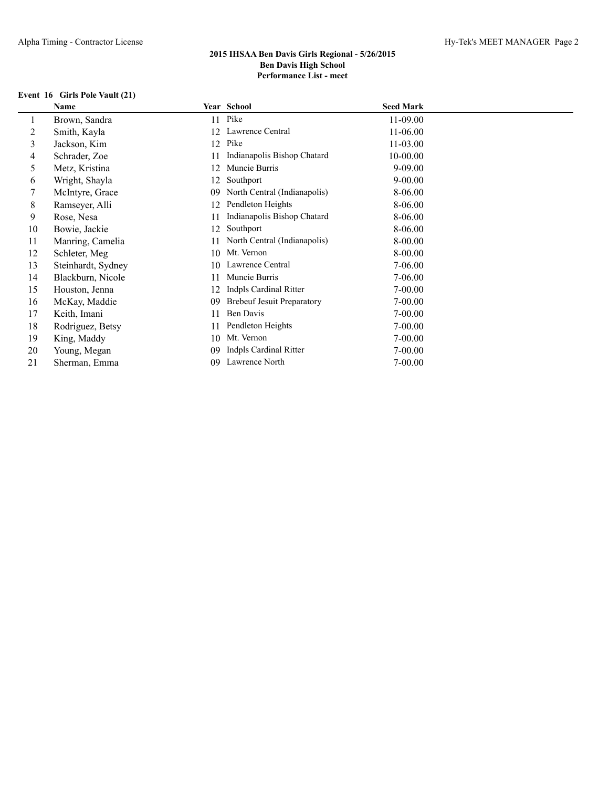## **Event 16 Girls Pole Vault (21)**

|    | Name               |    | Year School                       | <b>Seed Mark</b> |
|----|--------------------|----|-----------------------------------|------------------|
|    | Brown, Sandra      | 11 | Pike                              | 11-09.00         |
| 2  | Smith, Kayla       | 12 | Lawrence Central                  | 11-06.00         |
| 3  | Jackson, Kim       | 12 | Pike                              | 11-03.00         |
| 4  | Schrader, Zoe      | 11 | Indianapolis Bishop Chatard       | 10-00.00         |
| 5. | Metz, Kristina     | 12 | Muncie Burris                     | $9 - 09.00$      |
| 6  | Wright, Shayla     | 12 | Southport                         | $9 - 00.00$      |
|    | McIntyre, Grace    | 09 | North Central (Indianapolis)      | 8-06.00          |
| 8  | Ramseyer, Alli     | 12 | Pendleton Heights                 | 8-06.00          |
| 9  | Rose, Nesa         | 11 | Indianapolis Bishop Chatard       | 8-06.00          |
| 10 | Bowie, Jackie      | 12 | Southport                         | 8-06.00          |
| 11 | Manring, Camelia   | 11 | North Central (Indianapolis)      | 8-00.00          |
| 12 | Schleter, Meg      | 10 | Mt. Vernon                        | 8-00.00          |
| 13 | Steinhardt, Sydney | 10 | Lawrence Central                  | 7-06.00          |
| 14 | Blackburn, Nicole  | 11 | Muncie Burris                     | 7-06.00          |
| 15 | Houston, Jenna     | 12 | Indpls Cardinal Ritter            | $7 - 00.00$      |
| 16 | McKay, Maddie      | 09 | <b>Brebeuf Jesuit Preparatory</b> | $7 - 00.00$      |
| 17 | Keith, Imani       | 11 | Ben Davis                         | $7 - 00.00$      |
| 18 | Rodriguez, Betsy   | 11 | Pendleton Heights                 | $7 - 00.00$      |
| 19 | King, Maddy        | 10 | Mt. Vernon                        | $7 - 00.00$      |
| 20 | Young, Megan       | 09 | Indpls Cardinal Ritter            | $7 - 00.00$      |
| 21 | Sherman, Emma      | 09 | Lawrence North                    | $7 - 00.00$      |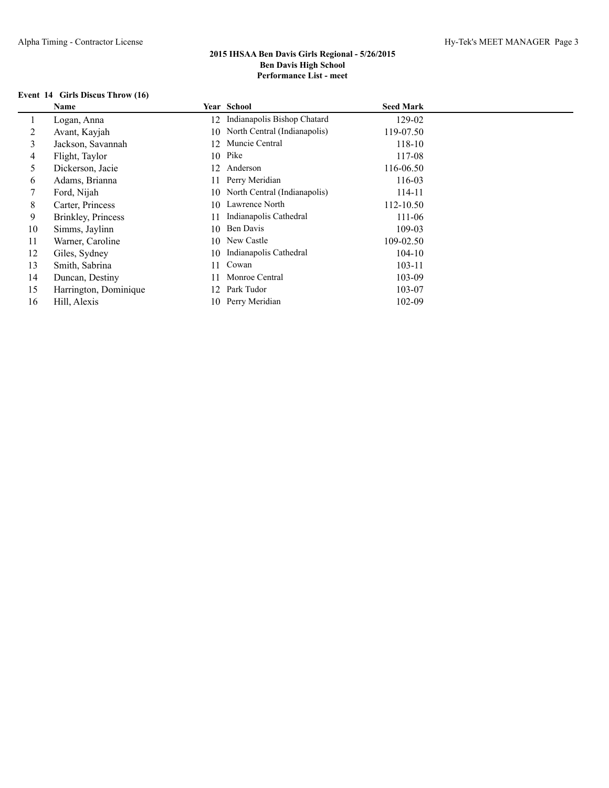## **Event 14 Girls Discus Throw (16)**

|    | Name                  |     | <b>Year School</b>           | <b>Seed Mark</b> |  |
|----|-----------------------|-----|------------------------------|------------------|--|
|    | Logan, Anna           | 12  | Indianapolis Bishop Chatard  | 129-02           |  |
| 2  | Avant, Kayjah         | 10. | North Central (Indianapolis) | 119-07.50        |  |
| 3  | Jackson, Savannah     | 12  | Muncie Central               | 118-10           |  |
| 4  | Flight, Taylor        |     | 10 Pike                      | 117-08           |  |
| 5  | Dickerson, Jacie      | 12  | Anderson                     | 116-06.50        |  |
| 6  | Adams, Brianna        | 11  | Perry Meridian               | 116-03           |  |
|    | Ford, Nijah           | 10  | North Central (Indianapolis) | 114-11           |  |
| 8  | Carter, Princess      | 10  | Lawrence North               | 112-10.50        |  |
| 9  | Brinkley, Princess    |     | Indianapolis Cathedral       | 111-06           |  |
| 10 | Simms, Jaylinn        | 10  | Ben Davis                    | 109-03           |  |
| 11 | Warner, Caroline      | 10  | New Castle                   | 109-02.50        |  |
| 12 | Giles, Sydney         | 10  | Indianapolis Cathedral       | $104 - 10$       |  |
| 13 | Smith, Sabrina        | 11  | Cowan                        | $103 - 11$       |  |
| 14 | Duncan, Destiny       |     | Monroe Central               | 103-09           |  |
| 15 | Harrington, Dominique | 12. | Park Tudor                   | 103-07           |  |
| 16 | Hill, Alexis          | 10. | Perry Meridian               | 102-09           |  |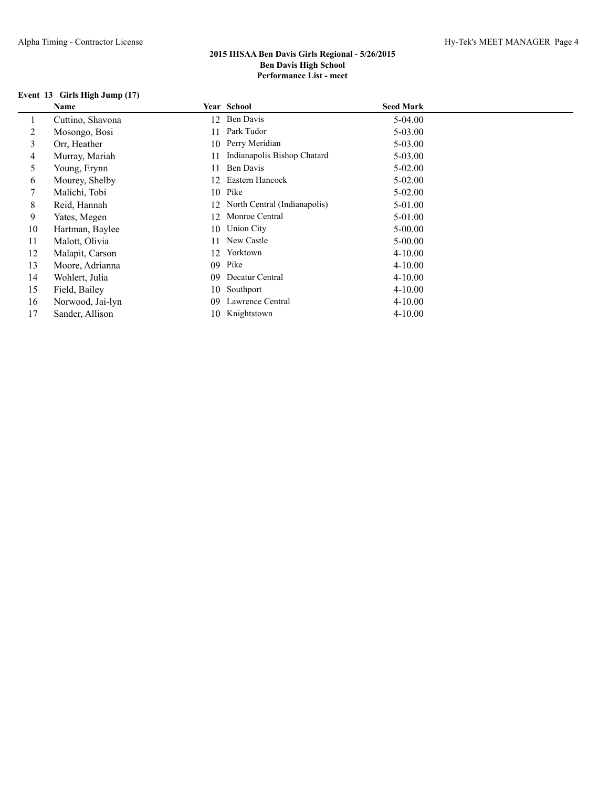## **Event 13 Girls High Jump (17)**

|    | Name             |    | <b>Year School</b>           | <b>Seed Mark</b> |
|----|------------------|----|------------------------------|------------------|
|    | Cuttino, Shavona | 12 | Ben Davis                    | 5-04.00          |
| 2  | Mosongo, Bosi    | 11 | Park Tudor                   | 5-03.00          |
| 3  | Orr, Heather     |    | 10 Perry Meridian            | 5-03.00          |
| 4  | Murray, Mariah   | 11 | Indianapolis Bishop Chatard  | 5-03.00          |
| 5  | Young, Erynn     | 11 | Ben Davis                    | $5 - 02.00$      |
| 6  | Mourey, Shelby   | 12 | Eastern Hancock              | $5 - 02.00$      |
|    | Malichi, Tobi    |    | 10 Pike                      | $5 - 02.00$      |
| 8  | Reid, Hannah     | 12 | North Central (Indianapolis) | 5-01.00          |
| 9  | Yates, Megen     | 12 | Monroe Central               | 5-01.00          |
| 10 | Hartman, Baylee  | 10 | <b>Union City</b>            | $5-00.00$        |
| 11 | Malott, Olivia   | 11 | New Castle                   | $5-00.00$        |
| 12 | Malapit, Carson  | 12 | Yorktown                     | $4 - 10.00$      |
| 13 | Moore, Adrianna  | 09 | Pike                         | $4 - 10.00$      |
| 14 | Wohlert, Julia   | 09 | Decatur Central              | $4 - 10.00$      |
| 15 | Field, Bailey    | 10 | Southport                    | $4 - 10.00$      |
| 16 | Norwood, Jai-lyn | 09 | Lawrence Central             | $4 - 10.00$      |
| 17 | Sander, Allison  |    | 10 Knightstown               | $4 - 10.00$      |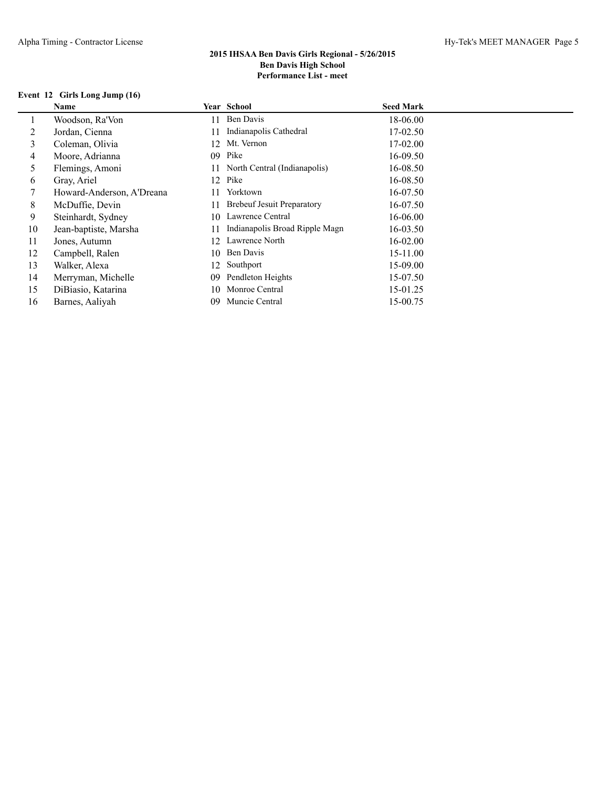## **Event 12 Girls Long Jump (16)**

|    | Name                      |     | Year School                       | <b>Seed Mark</b> |
|----|---------------------------|-----|-----------------------------------|------------------|
|    | Woodson, Ra'Von           | 11  | Ben Davis                         | 18-06.00         |
| 2  | Jordan, Cienna            | 11  | Indianapolis Cathedral            | 17-02.50         |
| 3  | Coleman, Olivia           | 12  | Mt. Vernon                        | 17-02.00         |
| 4  | Moore, Adrianna           | 09  | Pike                              | 16-09.50         |
| 5  | Flemings, Amoni           | 11. | North Central (Indianapolis)      | 16-08.50         |
| 6  | Gray, Ariel               | 12. | Pike                              | 16-08.50         |
|    | Howard-Anderson, A'Dreana | 11  | Yorktown                          | 16-07.50         |
| 8  | McDuffie, Devin           | 11  | <b>Brebeuf Jesuit Preparatory</b> | 16-07.50         |
| 9  | Steinhardt, Sydney        | 10  | Lawrence Central                  | 16-06.00         |
| 10 | Jean-baptiste, Marsha     | 11  | Indianapolis Broad Ripple Magn    | $16 - 03.50$     |
| 11 | Jones, Autumn             | 12. | Lawrence North                    | $16 - 02.00$     |
| 12 | Campbell, Ralen           | 10  | Ben Davis                         | 15-11.00         |
| 13 | Walker, Alexa             | 12  | Southport                         | 15-09.00         |
| 14 | Merryman, Michelle        | 09  | Pendleton Heights                 | 15-07.50         |
| 15 | DiBiasio, Katarina        | 10  | Monroe Central                    | 15-01.25         |
| 16 | Barnes, Aaliyah           | 09  | Muncie Central                    | 15-00.75         |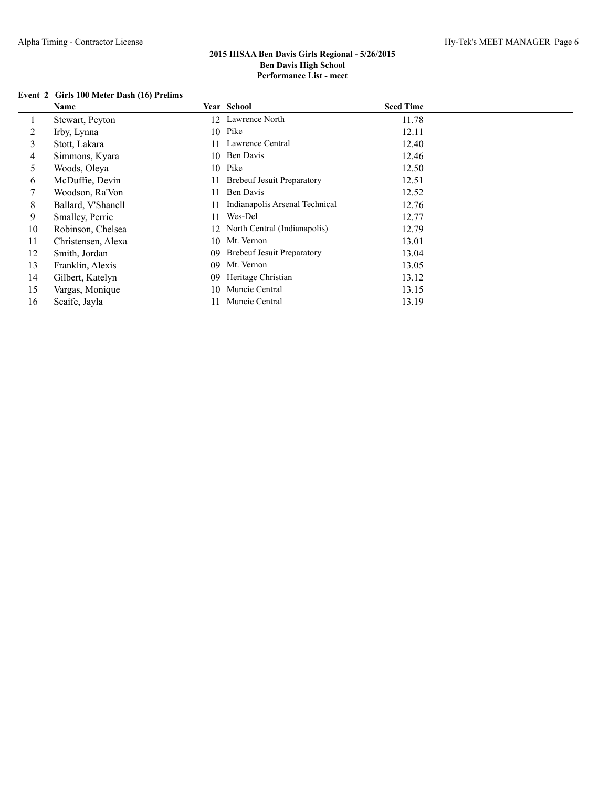### **Event 2 Girls 100 Meter Dash (16) Prelims**

|    | Name               |    | Year School                       | <b>Seed Time</b> |
|----|--------------------|----|-----------------------------------|------------------|
| 1  | Stewart, Peyton    | 12 | Lawrence North                    | 11.78            |
| 2  | Irby, Lynna        | 10 | Pike                              | 12.11            |
| 3  | Stott, Lakara      | 11 | Lawrence Central                  | 12.40            |
| 4  | Simmons, Kyara     | 10 | Ben Davis                         | 12.46            |
| 5  | Woods, Oleya       |    | 10 Pike                           | 12.50            |
| 6  | McDuffie, Devin    | 11 | <b>Brebeuf Jesuit Preparatory</b> | 12.51            |
|    | Woodson, Ra'Von    | 11 | Ben Davis                         | 12.52            |
| 8  | Ballard, V'Shanell | 11 | Indianapolis Arsenal Technical    | 12.76            |
| 9  | Smalley, Perrie    | 11 | Wes-Del                           | 12.77            |
| 10 | Robinson, Chelsea  |    | 12 North Central (Indianapolis)   | 12.79            |
| 11 | Christensen, Alexa | 10 | Mt. Vernon                        | 13.01            |
| 12 | Smith, Jordan      | 09 | <b>Brebeuf Jesuit Preparatory</b> | 13.04            |
| 13 | Franklin, Alexis   | 09 | Mt. Vernon                        | 13.05            |
| 14 | Gilbert, Katelyn   | 09 | Heritage Christian                | 13.12            |
| 15 | Vargas, Monique    | 10 | Muncie Central                    | 13.15            |
| 16 | Scaife, Jayla      | 11 | Muncie Central                    | 13.19            |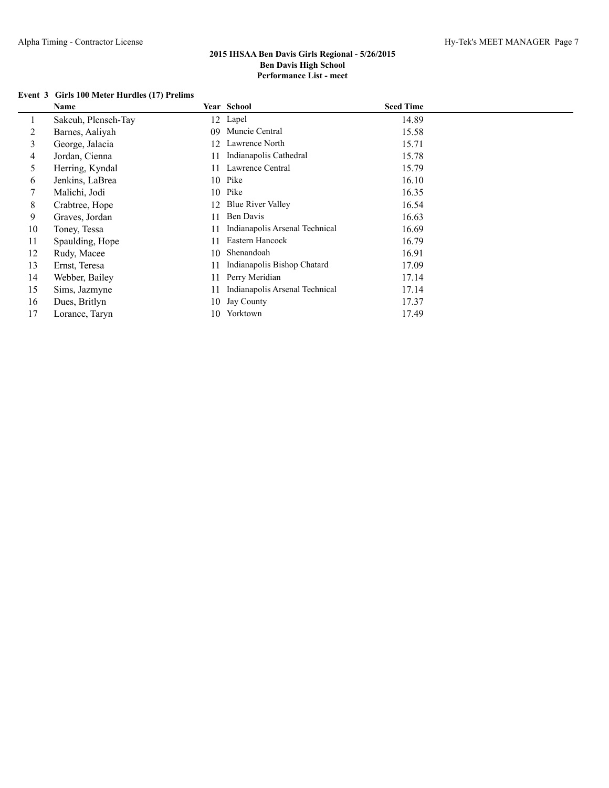### **Event 3 Girls 100 Meter Hurdles (17) Prelims**

|    | Name                |     | Year School                    | <b>Seed Time</b> |
|----|---------------------|-----|--------------------------------|------------------|
|    | Sakeuh, Plenseh-Tay |     | 12 Lapel                       | 14.89            |
| 2  | Barnes, Aaliyah     | 09  | Muncie Central                 | 15.58            |
| 3  | George, Jalacia     | 12  | Lawrence North                 | 15.71            |
| 4  | Jordan, Cienna      |     | Indianapolis Cathedral         | 15.78            |
| 5  | Herring, Kyndal     | 11  | Lawrence Central               | 15.79            |
| 6  | Jenkins, LaBrea     |     | 10 Pike                        | 16.10            |
| 7  | Malichi, Jodi       |     | 10 Pike                        | 16.35            |
| 8  | Crabtree, Hope      | 12  | <b>Blue River Valley</b>       | 16.54            |
| 9  | Graves, Jordan      | 11  | Ben Davis                      | 16.63            |
| 10 | Toney, Tessa        |     | Indianapolis Arsenal Technical | 16.69            |
| 11 | Spaulding, Hope     | 11  | Eastern Hancock                | 16.79            |
| 12 | Rudy, Macee         | 10  | Shenandoah                     | 16.91            |
| 13 | Ernst, Teresa       | 11  | Indianapolis Bishop Chatard    | 17.09            |
| 14 | Webber, Bailey      | 11  | Perry Meridian                 | 17.14            |
| 15 | Sims, Jazmyne       | 11  | Indianapolis Arsenal Technical | 17.14            |
| 16 | Dues, Britlyn       | 10  | Jay County                     | 17.37            |
| 17 | Lorance, Taryn      | 10. | Yorktown                       | 17.49            |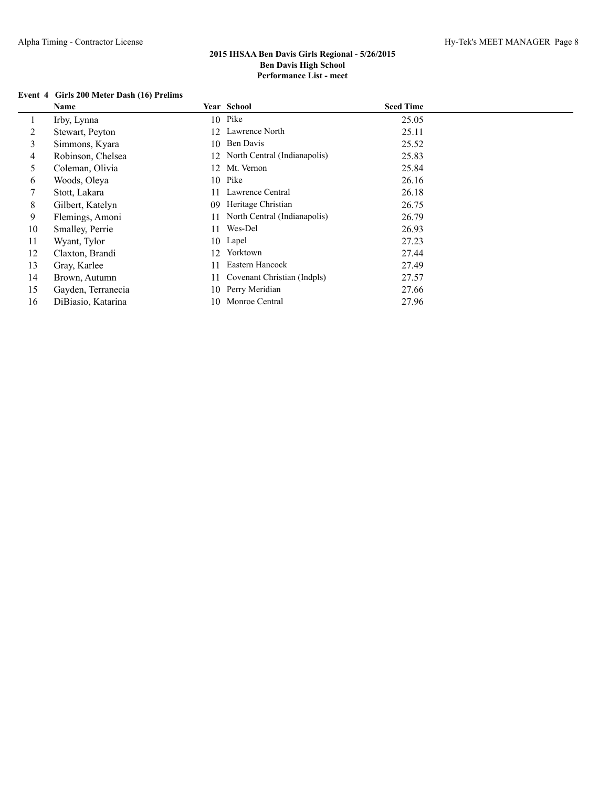### **Event 4 Girls 200 Meter Dash (16) Prelims**

|    | Name               |     | Year School                     | <b>Seed Time</b> |
|----|--------------------|-----|---------------------------------|------------------|
|    | Irby, Lynna        |     | 10 Pike                         | 25.05            |
| 2  | Stewart, Peyton    | 12. | Lawrence North                  | 25.11            |
| 3  | Simmons, Kyara     |     | 10 Ben Davis                    | 25.52            |
| 4  | Robinson, Chelsea  |     | 12 North Central (Indianapolis) | 25.83            |
| 5  | Coleman, Olivia    | 12  | Mt. Vernon                      | 25.84            |
| 6  | Woods, Oleya       | 10  | Pike                            | 26.16            |
|    | Stott, Lakara      | 11  | Lawrence Central                | 26.18            |
| 8  | Gilbert, Katelyn   | 09  | Heritage Christian              | 26.75            |
| 9  | Flemings, Amoni    | 11  | North Central (Indianapolis)    | 26.79            |
| 10 | Smalley, Perrie    | 11  | Wes-Del                         | 26.93            |
| 11 | Wyant, Tylor       |     | 10 Lapel                        | 27.23            |
| 12 | Claxton, Brandi    | 12  | Yorktown                        | 27.44            |
| 13 | Gray, Karlee       | 11  | Eastern Hancock                 | 27.49            |
| 14 | Brown, Autumn      | 11  | Covenant Christian (Indpls)     | 27.57            |
| 15 | Gayden, Terranecia |     | 10 Perry Meridian               | 27.66            |
| 16 | DiBiasio, Katarina | 10  | Monroe Central                  | 27.96            |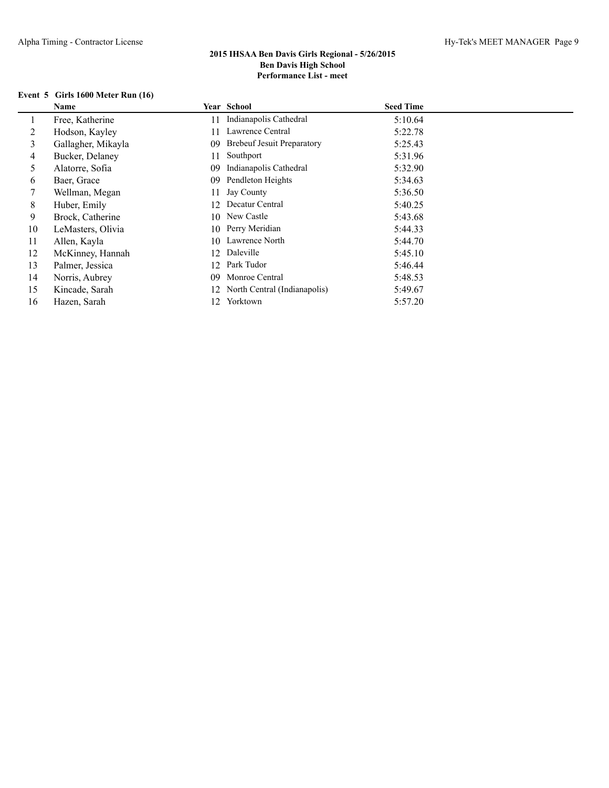# **Event 5 Girls 1600 Meter Run (16)**

|    | <b>Name</b>        |    | Year School                       | <b>Seed Time</b> |
|----|--------------------|----|-----------------------------------|------------------|
|    | Free, Katherine    | 11 | Indianapolis Cathedral            | 5:10.64          |
| 2  | Hodson, Kayley     | 11 | Lawrence Central                  | 5:22.78          |
| 3  | Gallagher, Mikayla | 09 | <b>Brebeuf Jesuit Preparatory</b> | 5:25.43          |
| 4  | Bucker, Delaney    | 11 | Southport                         | 5:31.96          |
| 5. | Alatorre, Sofia    | 09 | Indianapolis Cathedral            | 5:32.90          |
| 6  | Baer, Grace        | 09 | Pendleton Heights                 | 5:34.63          |
|    | Wellman, Megan     | 11 | Jay County                        | 5:36.50          |
| 8  | Huber, Emily       | 12 | Decatur Central                   | 5:40.25          |
| 9  | Brock, Catherine   |    | 10 New Castle                     | 5:43.68          |
| 10 | LeMasters, Olivia  | 10 | Perry Meridian                    | 5:44.33          |
| 11 | Allen, Kayla       | 10 | Lawrence North                    | 5:44.70          |
| 12 | McKinney, Hannah   | 12 | Daleville                         | 5:45.10          |
| 13 | Palmer, Jessica    | 12 | Park Tudor                        | 5:46.44          |
| 14 | Norris, Aubrey     | 09 | Monroe Central                    | 5:48.53          |
| 15 | Kincade, Sarah     |    | 12 North Central (Indianapolis)   | 5:49.67          |
| 16 | Hazen, Sarah       | 12 | Yorktown                          | 5:57.20          |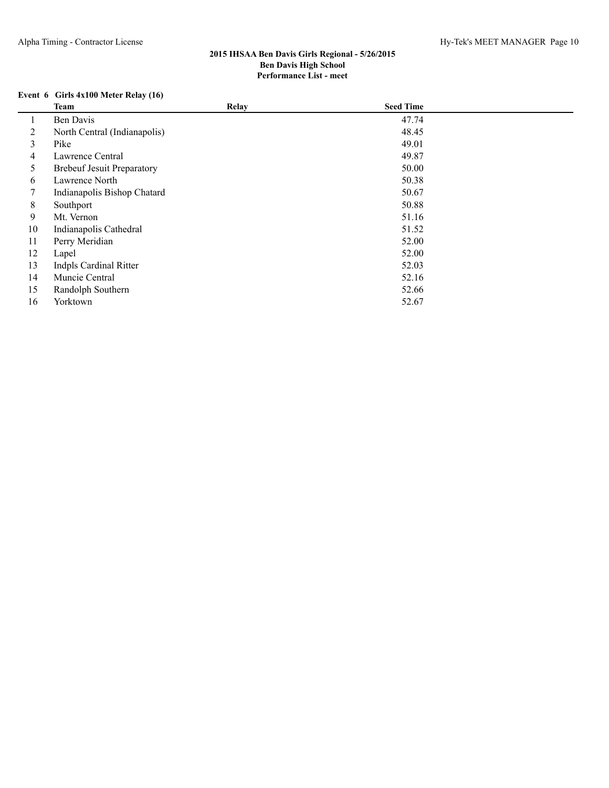# **Event 6 Girls 4x100 Meter Relay (16)**

|    | Team                              | Relay | <b>Seed Time</b> |  |
|----|-----------------------------------|-------|------------------|--|
|    | Ben Davis                         |       | 47.74            |  |
| 2  | North Central (Indianapolis)      |       | 48.45            |  |
| 3  | Pike                              |       | 49.01            |  |
| 4  | Lawrence Central                  |       | 49.87            |  |
| 5  | <b>Brebeuf Jesuit Preparatory</b> |       | 50.00            |  |
| 6  | Lawrence North                    |       | 50.38            |  |
| 7  | Indianapolis Bishop Chatard       |       | 50.67            |  |
| 8  | Southport                         |       | 50.88            |  |
| 9  | Mt. Vernon                        |       | 51.16            |  |
| 10 | Indianapolis Cathedral            |       | 51.52            |  |
| 11 | Perry Meridian                    |       | 52.00            |  |
| 12 | Lapel                             |       | 52.00            |  |
| 13 | <b>Indpls Cardinal Ritter</b>     |       | 52.03            |  |
| 14 | Muncie Central                    |       | 52.16            |  |
| 15 | Randolph Southern                 |       | 52.66            |  |
| 16 | Yorktown                          |       | 52.67            |  |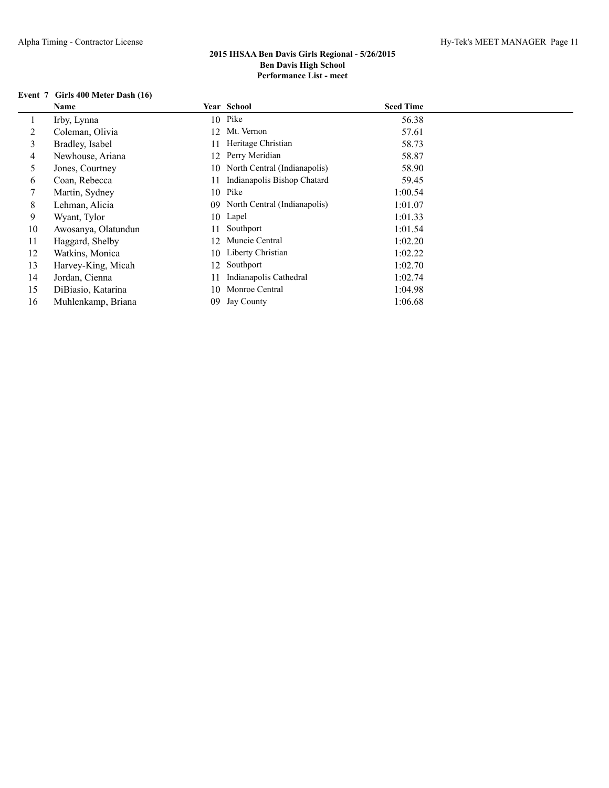# **Event 7 Girls 400 Meter Dash (16)**

|    | Name                |     | Year School                  | <b>Seed Time</b> |
|----|---------------------|-----|------------------------------|------------------|
|    | Irby, Lynna         |     | 10 Pike                      | 56.38            |
| 2  | Coleman, Olivia     | 12. | Mt. Vernon                   | 57.61            |
| 3  | Bradley, Isabel     | 11  | Heritage Christian           | 58.73            |
| 4  | Newhouse, Ariana    | 12. | Perry Meridian               | 58.87            |
| 5  | Jones, Courtney     | 10. | North Central (Indianapolis) | 58.90            |
| 6  | Coan, Rebecca       | 11  | Indianapolis Bishop Chatard  | 59.45            |
|    | Martin, Sydney      | 10  | Pike                         | 1:00.54          |
| 8  | Lehman, Alicia      | 09  | North Central (Indianapolis) | 1:01.07          |
| 9  | Wyant, Tylor        | 10  | Lapel                        | 1:01.33          |
| 10 | Awosanya, Olatundun | 11  | Southport                    | 1:01.54          |
| 11 | Haggard, Shelby     | 12  | Muncie Central               | 1:02.20          |
| 12 | Watkins, Monica     | 10  | Liberty Christian            | 1:02.22          |
| 13 | Harvey-King, Micah  | 12. | Southport                    | 1:02.70          |
| 14 | Jordan, Cienna      | 11  | Indianapolis Cathedral       | 1:02.74          |
| 15 | DiBiasio, Katarina  | 10  | Monroe Central               | 1:04.98          |
| 16 | Muhlenkamp, Briana  | 09  | Jay County                   | 1:06.68          |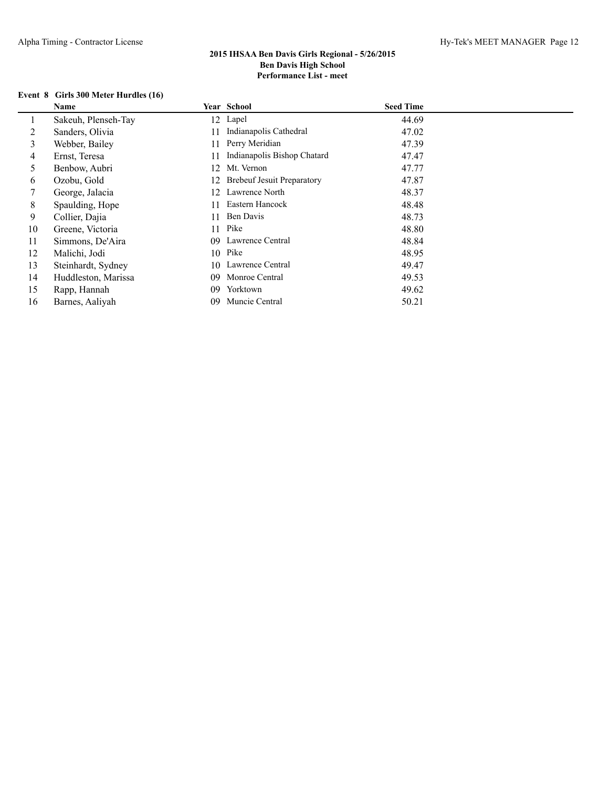## **Event 8 Girls 300 Meter Hurdles (16)**

|    | Name                |    | Year School                       | <b>Seed Time</b> |
|----|---------------------|----|-----------------------------------|------------------|
|    | Sakeuh, Plenseh-Tay | 12 | Lapel                             | 44.69            |
|    | Sanders, Olivia     | 11 | Indianapolis Cathedral            | 47.02            |
| 3  | Webber, Bailey      | 11 | Perry Meridian                    | 47.39            |
| 4  | Ernst, Teresa       | 11 | Indianapolis Bishop Chatard       | 47.47            |
| 5. | Benbow, Aubri       | 12 | Mt. Vernon                        | 47.77            |
| 6  | Ozobu, Gold         | 12 | <b>Brebeuf Jesuit Preparatory</b> | 47.87            |
|    | George, Jalacia     | 12 | Lawrence North                    | 48.37            |
| 8  | Spaulding, Hope     | 11 | Eastern Hancock                   | 48.48            |
| 9  | Collier, Dajia      | 11 | Ben Davis                         | 48.73            |
| 10 | Greene, Victoria    | 11 | Pike                              | 48.80            |
| 11 | Simmons, De'Aira    | 09 | Lawrence Central                  | 48.84            |
| 12 | Malichi, Jodi       | 10 | Pike                              | 48.95            |
| 13 | Steinhardt, Sydney  | 10 | Lawrence Central                  | 49.47            |
| 14 | Huddleston, Marissa | 09 | Monroe Central                    | 49.53            |
| 15 | Rapp, Hannah        | 09 | Yorktown                          | 49.62            |
| 16 | Barnes, Aaliyah     | 09 | Muncie Central                    | 50.21            |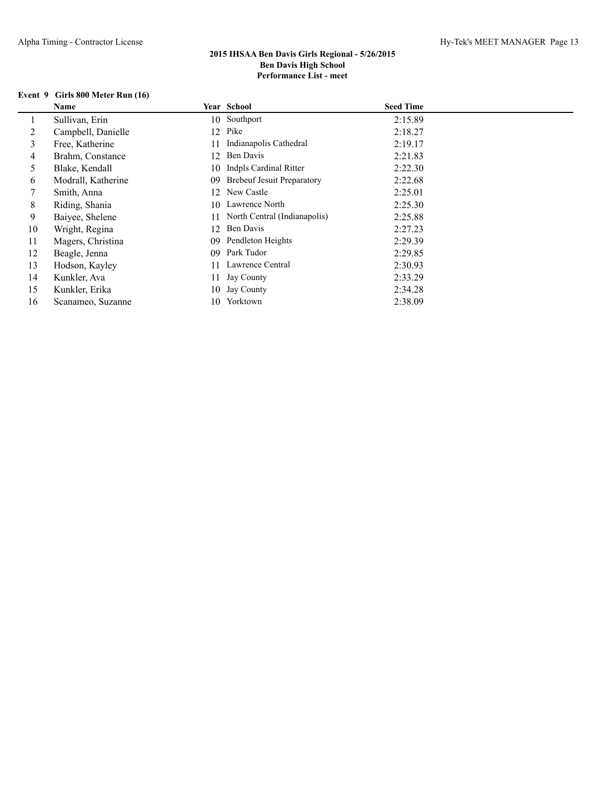### **Event 9 Girls 800 Meter Run (16)**

|    | Name               |     | Year School                       | <b>Seed Time</b> |
|----|--------------------|-----|-----------------------------------|------------------|
|    | Sullivan, Erin     |     | 10 Southport                      | 2:15.89          |
| 2  | Campbell, Danielle |     | 12 Pike                           | 2:18.27          |
| 3  | Free, Katherine    |     | Indianapolis Cathedral            | 2:19.17          |
| 4  | Brahm, Constance   | 12  | Ben Davis                         | 2:21.83          |
| 5  | Blake, Kendall     |     | 10 Indpls Cardinal Ritter         | 2:22.30          |
| 6  | Modrall, Katherine | 09  | <b>Brebeuf Jesuit Preparatory</b> | 2:22.68          |
| 7  | Smith, Anna        |     | 12 New Castle                     | 2:25.01          |
| 8  | Riding, Shania     |     | 10 Lawrence North                 | 2:25.30          |
| 9  | Baiyee, Shelene    |     | 11 North Central (Indianapolis)   | 2:25.88          |
| 10 | Wright, Regina     | 12  | Ben Davis                         | 2:27.23          |
| 11 | Magers, Christina  | 09  | Pendleton Heights                 | 2:29.39          |
| 12 | Beagle, Jenna      | 09  | Park Tudor                        | 2:29.85          |
| 13 | Hodson, Kayley     | 11  | Lawrence Central                  | 2:30.93          |
| 14 | Kunkler, Ava       |     | 11 Jay County                     | 2:33.29          |
| 15 | Kunkler, Erika     |     | 10 Jay County                     | 2:34.28          |
| 16 | Scanameo, Suzanne  | 10. | Yorktown                          | 2:38.09          |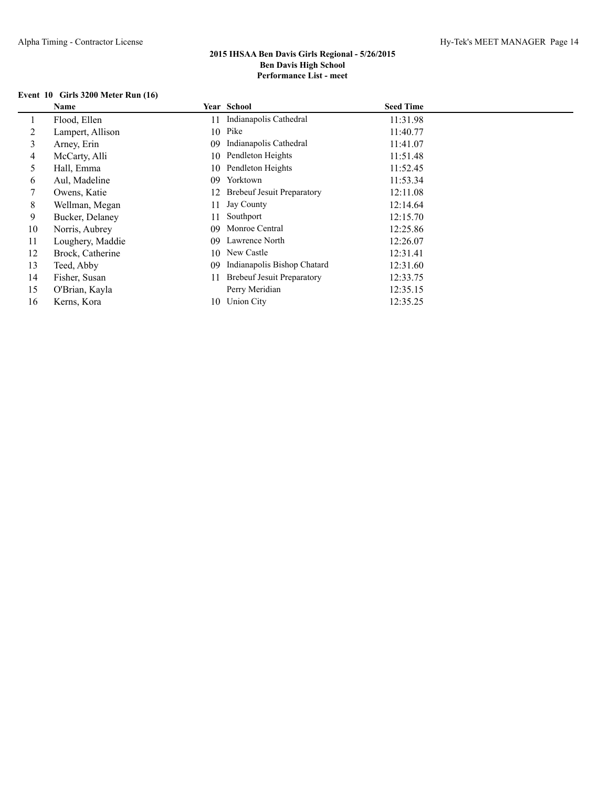# **Event 10 Girls 3200 Meter Run (16)**

|    | <b>Name</b>      |    | Year School                       | <b>Seed Time</b> |
|----|------------------|----|-----------------------------------|------------------|
|    | Flood, Ellen     | 11 | Indianapolis Cathedral            | 11:31.98         |
| 2  | Lampert, Allison |    | 10 Pike                           | 11:40.77         |
| 3  | Arney, Erin      | 09 | Indianapolis Cathedral            | 11:41.07         |
| 4  | McCarty, Alli    | 10 | Pendleton Heights                 | 11:51.48         |
| 5  | Hall, Emma       | 10 | Pendleton Heights                 | 11:52.45         |
| 6  | Aul, Madeline    | 09 | Yorktown                          | 11:53.34         |
|    | Owens, Katie     | 12 | <b>Brebeuf Jesuit Preparatory</b> | 12:11.08         |
| 8  | Wellman, Megan   | 11 | Jay County                        | 12:14.64         |
| 9  | Bucker, Delaney  | 11 | Southport                         | 12:15.70         |
| 10 | Norris, Aubrey   | 09 | Monroe Central                    | 12:25.86         |
| 11 | Loughery, Maddie | 09 | Lawrence North                    | 12:26.07         |
| 12 | Brock, Catherine | 10 | New Castle                        | 12:31.41         |
| 13 | Teed, Abby       | 09 | Indianapolis Bishop Chatard       | 12:31.60         |
| 14 | Fisher, Susan    | 11 | <b>Brebeuf Jesuit Preparatory</b> | 12:33.75         |
| 15 | O'Brian, Kayla   |    | Perry Meridian                    | 12:35.15         |
| 16 | Kerns, Kora      | 10 | Union City                        | 12:35.25         |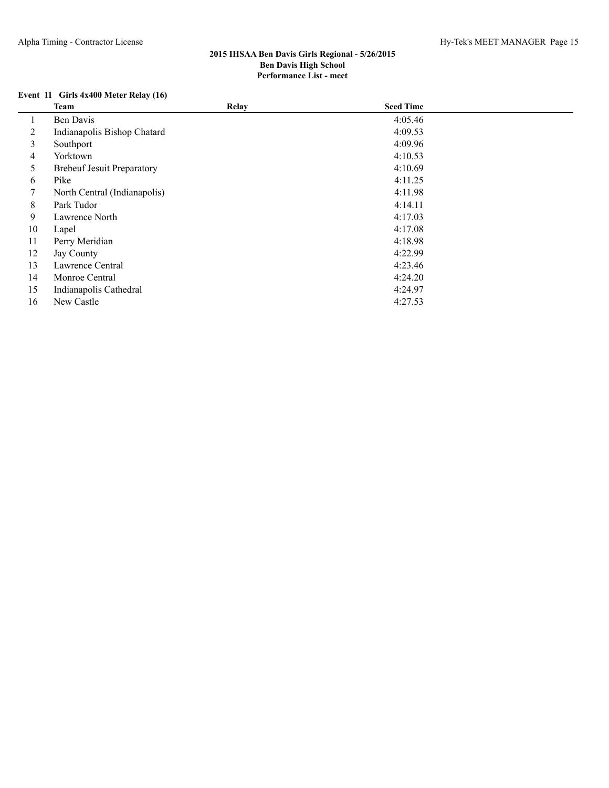# **Event 11 Girls 4x400 Meter Relay (16)**

|    | <b>Team</b>                       | Relay | <b>Seed Time</b> |  |
|----|-----------------------------------|-------|------------------|--|
|    | Ben Davis                         |       | 4:05.46          |  |
| 2  | Indianapolis Bishop Chatard       |       | 4:09.53          |  |
| 3  | Southport                         |       | 4:09.96          |  |
| 4  | Yorktown                          |       | 4:10.53          |  |
| 5  | <b>Brebeuf Jesuit Preparatory</b> |       | 4:10.69          |  |
| 6  | Pike                              |       | 4:11.25          |  |
|    | North Central (Indianapolis)      |       | 4:11.98          |  |
| 8  | Park Tudor                        |       | 4:14.11          |  |
| 9  | Lawrence North                    |       | 4:17.03          |  |
| 10 | Lapel                             |       | 4:17.08          |  |
| 11 | Perry Meridian                    |       | 4:18.98          |  |
| 12 | Jay County                        |       | 4:22.99          |  |
| 13 | Lawrence Central                  |       | 4:23.46          |  |
| 14 | Monroe Central                    |       | 4:24.20          |  |
| 15 | Indianapolis Cathedral            |       | 4:24.97          |  |
| 16 | New Castle                        |       | 4:27.53          |  |